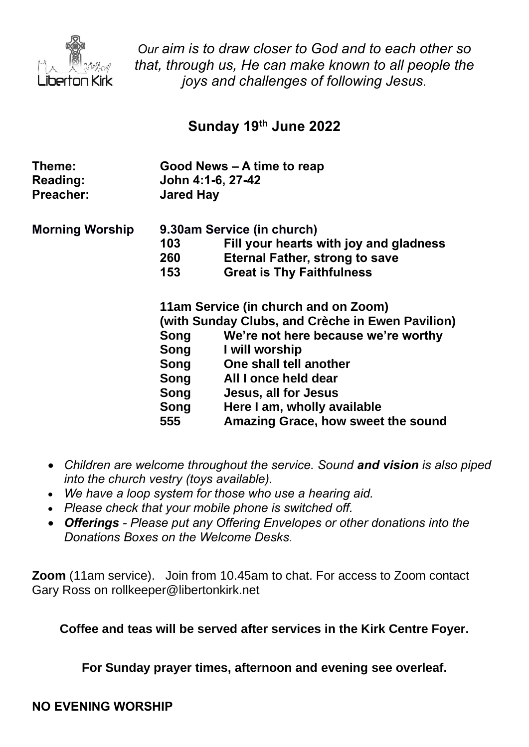

*Our aim is to draw closer to God and to each other so that, through us, He can make known to all people the joys and challenges of following Jesus.*

# **Sunday 19 th June 2022**

| Theme:<br><b>Reading:</b><br>Preacher: | Good News – A time to reap<br>John 4:1-6, 27-42<br><b>Jared Hay</b> |                                        |
|----------------------------------------|---------------------------------------------------------------------|----------------------------------------|
| <b>Morning Worship</b>                 | 9.30am Service (in church)                                          |                                        |
|                                        | 103                                                                 | Fill your hearts with joy and gladness |
|                                        | 260                                                                 | <b>Eternal Father, strong to save</b>  |
|                                        | 153                                                                 | <b>Great is Thy Faithfulness</b>       |
|                                        | 11am Service (in church and on Zoom)                                |                                        |
|                                        | (with Sunday Clubs, and Crèche in Ewen Pavilion)                    |                                        |
|                                        | Song                                                                | We're not here because we're worthy    |
|                                        | Song                                                                | I will worship                         |
|                                        | Song                                                                | One shall tell another                 |
|                                        | Song                                                                | All I once held dear                   |
|                                        | Song                                                                | Jesus, all for Jesus                   |
|                                        | Song                                                                | Here I am, wholly available            |
|                                        | 555                                                                 | Amazing Grace, how sweet the sound     |

- *Children are welcome throughout the service. Sound and vision is also piped into the church vestry (toys available).*
- *We have a loop system for those who use a hearing aid.*
- *Please check that your mobile phone is switched off.*
- *Offerings - Please put any Offering Envelopes or other donations into the Donations Boxes on the Welcome Desks.*

**Zoom** (11am service).Join from 10.45am to chat. For access to Zoom contact Gary Ross on rollkeeper@libertonkirk.net

**Coffee and teas will be served after services in the Kirk Centre Foyer.**

**For Sunday prayer times, afternoon and evening see overleaf.**

#### **NO EVENING WORSHIP**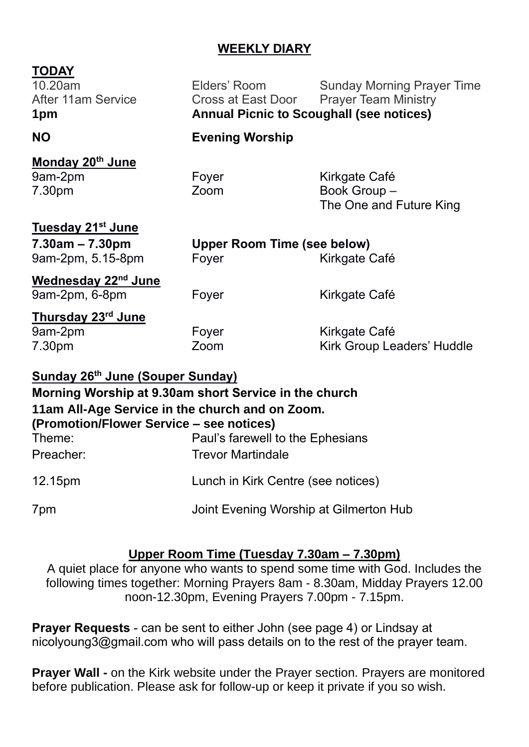## **WEEKLY DIARY**

#### **TODAY**

10.20am Elders' Room Sunday Morning Prayer Time After 11am Service **Cross at East Door** Prayer Team Ministry **1pm Annual Picnic to Scoughall (see notices)**

**NO Evening Worship** 

#### **Monday 20th June** 9am-2pm Foyer Form Kirkgate Café 7.30pm Zoom Book Group – The One and Future King

# **Tuesday 21st June 7.30am – 7.30pm Upper Room Time (see below)** 9am-2pm, 5.15-8pm Foyer Form Kirkgate Café **Wednesday 22nd June** 9am-2pm, 6-8pm Foyer Form Kirkgate Café **Thursday 23rd June** 9am-2pm Foyer Form Kirkgate Café 7.30pm Zoom Kirk Group Leaders' Huddle

## **Sunday 26th June (Souper Sunday)**

# **Morning Worship at 9.30am short Service in the church 11am All-Age Service in the church and on Zoom. (Promotion/Flower Service – see notices)** Theme: Paul's farewell to the Ephesians Preacher: Trevor Martindale 12.15pm Lunch in Kirk Centre (see notices) 7pm Joint Evening Worship at Gilmerton Hub

#### **Upper Room Time (Tuesday 7.30am – 7.30pm)**

A quiet place for anyone who wants to spend some time with God. Includes the following times together: Morning Prayers 8am - 8.30am, Midday Prayers 12.00 noon-12.30pm, Evening Prayers 7.00pm - 7.15pm.

**Prayer Requests** - can be sent to either John (see page 4) or Lindsay at [nicolyoung3@gmail.com](mailto:nicolyoung3@gmail.com) who will pass details on to the rest of the prayer team.

**Prayer Wall -** on the Kirk website under the Prayer section. Prayers are monitored before publication. Please ask for follow-up or keep it private if you so wish.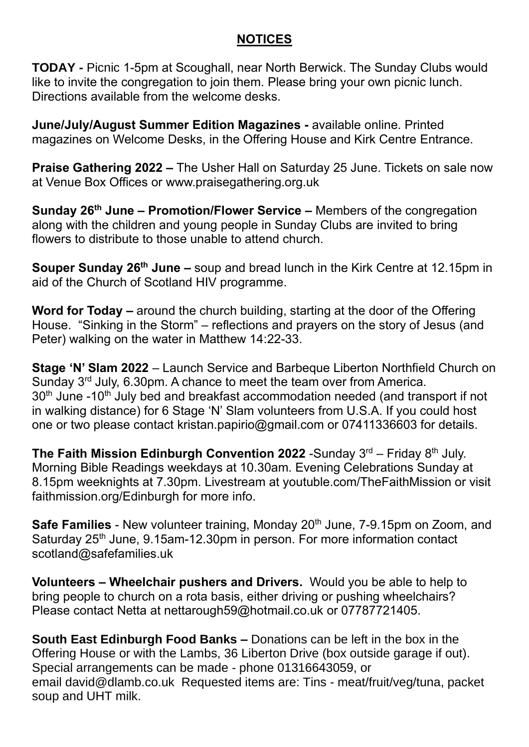#### **NOTICES**

**TODAY -** Picnic 1-5pm at Scoughall, near North Berwick. The Sunday Clubs would like to invite the congregation to join them. Please bring your own picnic lunch. Directions available from the welcome desks.

**June/July/August Summer Edition Magazines -** available online. Printed magazines on Welcome Desks, in the Offering House and Kirk Centre Entrance.

**Praise Gathering 2022 –** The Usher Hall on Saturday 25 June. Tickets on sale now at Venue Box Offices or www.praisegathering.org.uk

**Sunday 26th June – Promotion/Flower Service –** Members of the congregation along with the children and young people in Sunday Clubs are invited to bring flowers to distribute to those unable to attend church.

**Souper Sunday 26th June –** soup and bread lunch in the Kirk Centre at 12.15pm in aid of the Church of Scotland HIV programme.

**Word for Today –** around the church building, starting at the door of the Offering House. "Sinking in the Storm" – reflections and prayers on the story of Jesus (and Peter) walking on the water in Matthew 14:22-33.

**Stage 'N' Slam 2022** – Launch Service and Barbeque Liberton Northfield Church on Sunday 3rd July, 6.30pm. A chance to meet the team over from America. 30<sup>th</sup> June -10<sup>th</sup> July bed and breakfast accommodation needed (and transport if not in walking distance) for 6 Stage 'N' Slam volunteers from U.S.A. If you could host one or two please contact [kristan.papirio@gmail.com](mailto:kristan.papirio@gmail.com) or 07411336603 for details.

**The Faith Mission Edinburgh Convention 2022** -Sunday 3<sup>rd</sup> – Friday 8<sup>th</sup> July. Morning Bible Readings weekdays at 10.30am. Evening Celebrations Sunday at 8.15pm weeknights at 7.30pm. Livestream at youtuble.com/TheFaithMission or visit faithmission.org/Edinburgh for more info.

**Safe Families** - New volunteer training, Monday 20<sup>th</sup> June, 7-9.15pm on Zoom, and Saturday 25<sup>th</sup> June, 9.15am-12.30pm in person. For more information contact scotland@safefamilies.uk

**Volunteers – Wheelchair pushers and Drivers.** Would you be able to help to bring people to church on a rota basis, either driving or pushing wheelchairs? Please contact Netta at [nettarough59@hotmail.co.uk](mailto:nettarough59@hotmail.co.uk) or 07787721405.

**South East Edinburgh Food Banks –** Donations can be left in the box in the Offering House or with the Lambs, 36 Liberton Drive (box outside garage if out). Special arrangements can be made - phone 01316643059, or email [david@dlamb.co.uk](mailto:david@dlamb.co.uk) Requested items are: Tins - meat/fruit/veg/tuna, packet soup and UHT milk.